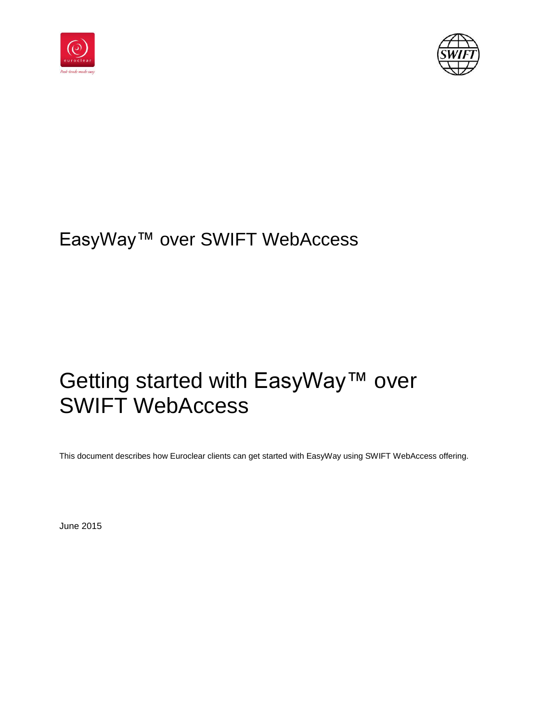



# EasyWay™ over SWIFT WebAccess

# Getting started with EasyWay™ over SWIFT WebAccess

This document describes how Euroclear clients can get started with EasyWay using SWIFT WebAccess offering.

June 2015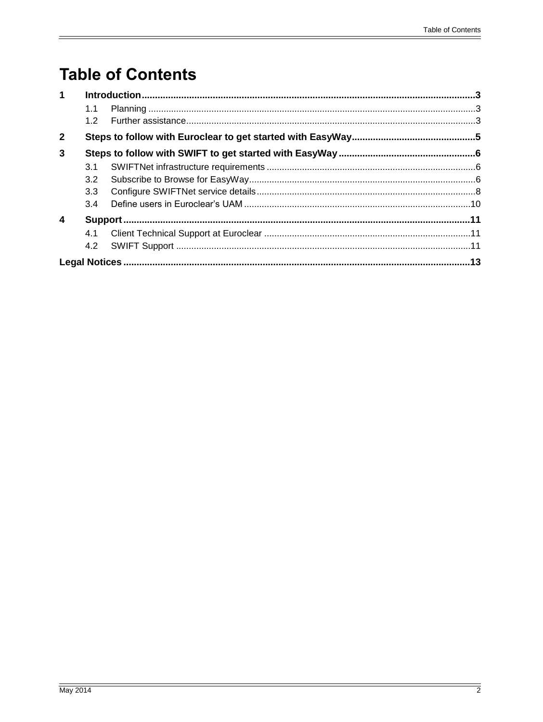# **Table of Contents**

| $\mathbf 1$    |                  |  |  |
|----------------|------------------|--|--|
|                | 1.1              |  |  |
|                | 1.2 <sub>1</sub> |  |  |
| $\overline{2}$ |                  |  |  |
| 3              |                  |  |  |
|                | 3.1              |  |  |
|                | 3.2              |  |  |
|                | 3.3              |  |  |
|                | 3.4              |  |  |
| 4              |                  |  |  |
|                | 4.1              |  |  |
|                |                  |  |  |
|                |                  |  |  |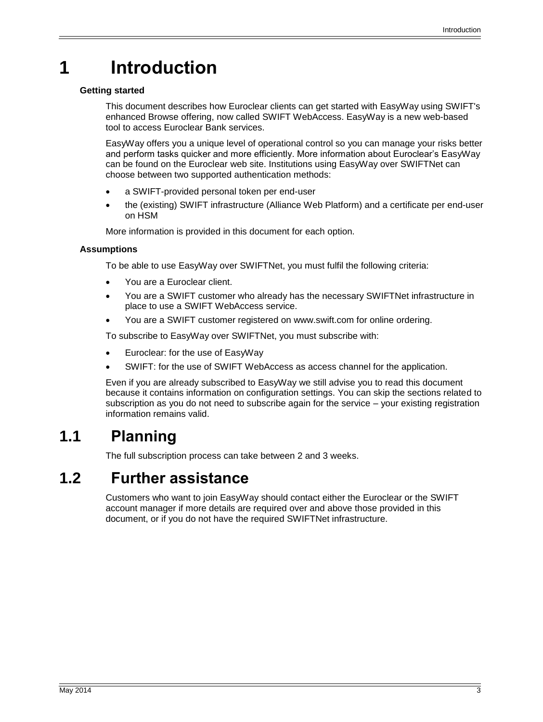# <span id="page-2-0"></span>**1 Introduction**

### **Getting started**

This document describes how Euroclear clients can get started with EasyWay using SWIFT's enhanced Browse offering, now called SWIFT WebAccess. EasyWay is a new web-based tool to access Euroclear Bank services.

EasyWay offers you a unique level of operational control so you can manage your risks better and perform tasks quicker and more efficiently. More information about Euroclear's EasyWay can be found on the Euroclear web site. Institutions using EasyWay over SWIFTNet can choose between two supported authentication methods:

- a SWIFT-provided personal token per end-user
- the (existing) SWIFT infrastructure (Alliance Web Platform) and a certificate per end-user on HSM

More information is provided in this document for each option.

### **Assumptions**

To be able to use EasyWay over SWIFTNet, you must fulfil the following criteria:

- You are a Euroclear client.
- You are a SWIFT customer who already has the necessary SWIFTNet infrastructure in place to use a SWIFT WebAccess service.
- You are a SWIFT customer registered on www.swift.com for online ordering.

To subscribe to EasyWay over SWIFTNet, you must subscribe with:

- Euroclear: for the use of EasyWay
- SWIFT: for the use of SWIFT WebAccess as access channel for the application.

Even if you are already subscribed to EasyWay we still advise you to read this document because it contains information on configuration settings. You can skip the sections related to subscription as you do not need to subscribe again for the service – your existing registration information remains valid.

## <span id="page-2-1"></span>**1.1 Planning**

The full subscription process can take between 2 and 3 weeks.

## <span id="page-2-2"></span>**1.2 Further assistance**

Customers who want to join EasyWay should contact either the Euroclear or the SWIFT account manager if more details are required over and above those provided in this document, or if you do not have the required SWIFTNet infrastructure.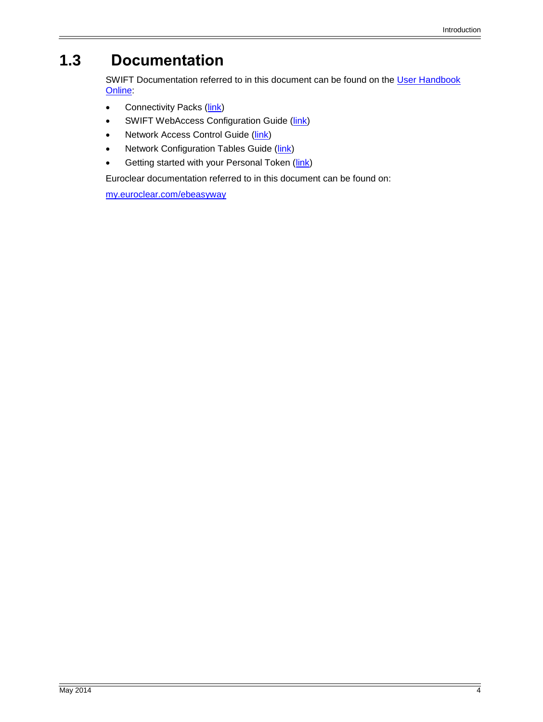# **1.3 Documentation**

SWIFT Documentation referred to in this document can be found on the User Handbook [Online:](https://www2.swift.com/uhbonline/books/hub/home.htm)

- Connectivity Packs [\(link\)](https://www2.swift.com/go/book/book32012/book32012/html)
- SWIFT WebAccess Configuration Guide [\(link\)](https://www2.swift.com/go/book/book97189/book97189/html)
- Network Access Control Guide [\(link\)](https://www2.swift.com/go/book/book24088/book24088/html)
- Network Configuration Tables Guide [\(link\)](https://www2.swift.com/go/book/book37438/book37438/html)
- Getting started with your Personal Token [\(link\)](https://www2.swift.com/go/book/book126508/book126508/html)

Euroclear documentation referred to in this document can be found on:

[my.euroclear.com/ebeasyway](https://my.euroclear.com/easyway)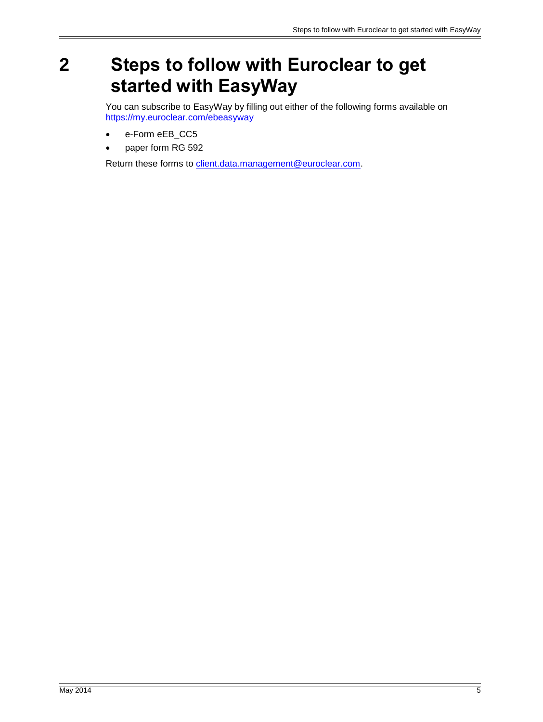# <span id="page-4-0"></span>**2 Steps to follow with Euroclear to get started with EasyWay**

You can subscribe to EasyWay by filling out either of the following forms available on <https://my.euroclear.com/ebeasyway>

- e-Form eEB\_CC5
- paper form RG 592

Return these forms to [client.data.management@euroclear.com.](mailto:client.data.management@euroclear.com)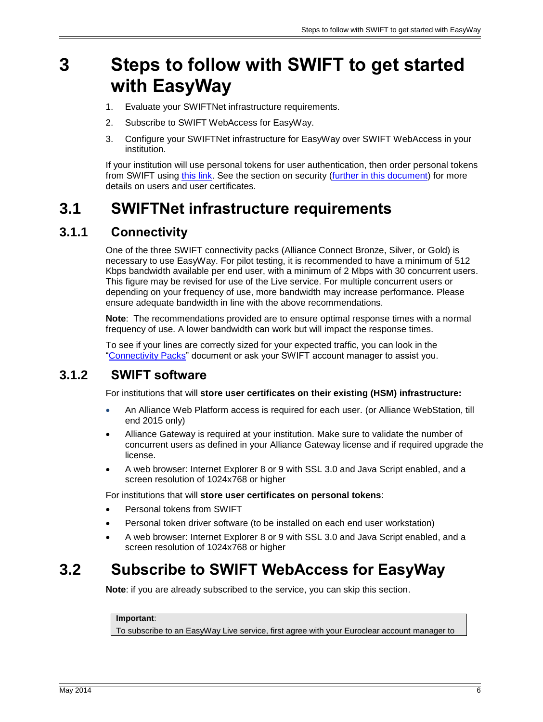# <span id="page-5-0"></span>**3 Steps to follow with SWIFT to get started with EasyWay**

- 1. Evaluate your SWIFTNet infrastructure requirements.
- 2. Subscribe to SWIFT WebAccess for EasyWay.
- 3. Configure your SWIFTNet infrastructure for EasyWay over SWIFT WebAccess in your institution.

If your institution will use personal tokens for user authentication, then order personal tokens from SWIFT using [this link.](http://www.swift.com/ordering/old_ordering_configuration/existing_customers/43718/security/register/personal_tokens.page?) See the section on security [\(further in this document\)](#page-8-0) for more details on users and user certificates.

## <span id="page-5-1"></span>**3.1 SWIFTNet infrastructure requirements**

## **3.1.1 Connectivity**

One of the three SWIFT connectivity packs (Alliance Connect Bronze, Silver, or Gold) is necessary to use EasyWay. For pilot testing, it is recommended to have a minimum of 512 Kbps bandwidth available per end user, with a minimum of 2 Mbps with 30 concurrent users. This figure may be revised for use of the Live service. For multiple concurrent users or depending on your frequency of use, more bandwidth may increase performance. Please ensure adequate bandwidth in line with the above recommendations.

**Note**: The recommendations provided are to ensure optimal response times with a normal frequency of use. A lower bandwidth can work but will impact the response times.

To see if your lines are correctly sized for your expected traffic, you can look in the ["Connectivity Packs"](https://www2.swift.com/go/book/book32012/book32012/html) document or ask your SWIFT account manager to assist you.

## **3.1.2 SWIFT software**

For institutions that will **store user certificates on their existing (HSM) infrastructure:**

- An Alliance Web Platform access is required for each user. (or Alliance WebStation, till end 2015 only)
- Alliance Gateway is required at your institution. Make sure to validate the number of concurrent users as defined in your Alliance Gateway license and if required upgrade the license.
- A web browser: Internet Explorer 8 or 9 with SSL 3.0 and Java Script enabled, and a screen resolution of 1024x768 or higher

For institutions that will **store user certificates on personal tokens**:

- Personal tokens from SWIFT
- Personal token driver software (to be installed on each end user workstation)
- A web browser: Internet Explorer 8 or 9 with SSL 3.0 and Java Script enabled, and a screen resolution of 1024x768 or higher

## <span id="page-5-2"></span>**3.2 Subscribe to SWIFT WebAccess for EasyWay**

**Note**: if you are already subscribed to the service, you can skip this section.

### **Important**:

To subscribe to an EasyWay Live service, first agree with your Euroclear account manager to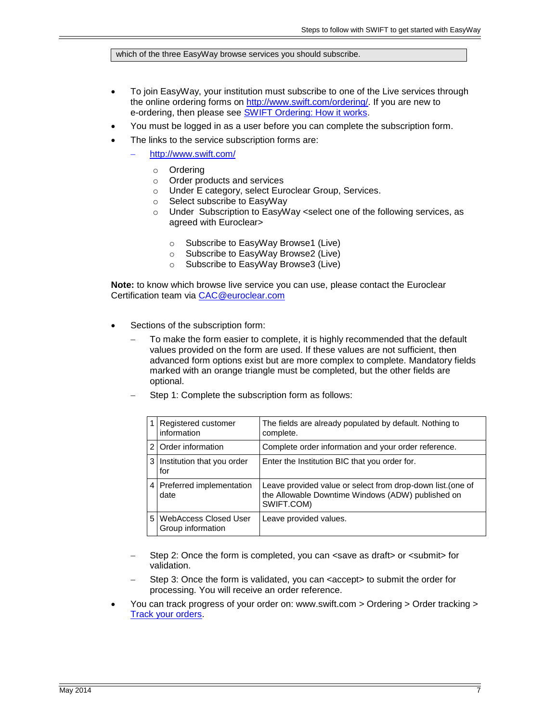which of the three EasyWay browse services you should subscribe.

- To join EasyWay, your institution must subscribe to one of the Live services through the online ordering forms on [http://www.swift.com/ordering/.](http://www.swift.com/ordering/index.page?) If you are new to e-ordering, then please see [SWIFT Ordering: How it works.](http://www.swift.com/ordering/old_ordering_configuration/how_e_ordering_works.page?)
- You must be logged in as a user before you can complete the subscription form.
- The links to the service subscription forms are:
	- <http://www.swift.com/>
		- o Ordering
		- o Order products and services
		- o Under E category, select Euroclear Group, Services.<br>○ Select subscribe to EasyWay
		- Select subscribe to EasyWay
		- o Under Subscription to EasyWay <select one of the following services, as agreed with Euroclear>
			- o Subscribe to EasyWay Browse1 (Live)
			- o Subscribe to EasyWay Browse2 (Live)
			- o Subscribe to EasyWay Browse3 (Live)

**Note:** to know which browse live service you can use, please contact the Euroclear Certification team via [CAC@euroclear.com](mailto:CAC@euroclear.com)

- Sections of the subscription form:
	- To make the form easier to complete, it is highly recommended that the default values provided on the form are used. If these values are not sufficient, then advanced form options exist but are more complex to complete. Mandatory fields marked with an orange triangle must be completed, but the other fields are optional.
	- Step 1: Complete the subscription form as follows:

|         | Registered customer<br>information                | The fields are already populated by default. Nothing to<br>complete.                                                           |
|---------|---------------------------------------------------|--------------------------------------------------------------------------------------------------------------------------------|
|         | 2 Order information                               | Complete order information and your order reference.                                                                           |
| 3       | Institution that you order<br>for                 | Enter the Institution BIC that you order for.                                                                                  |
| $\vert$ | Preferred implementation<br>date                  | Leave provided value or select from drop-down list. (one of<br>the Allowable Downtime Windows (ADW) published on<br>SWIFT.COM) |
| 5.      | <b>WebAccess Closed User</b><br>Group information | Leave provided values.                                                                                                         |

- Step 2: Once the form is completed, you can <save as draft> or <submit> for validation.
- Step 3: Once the form is validated, you can <accept> to submit the order for processing. You will receive an order reference.
- You can track progress of your order on: www.swift.com > Ordering > Order tracking > [Track your orders.](https://www2.swift.com/ott/)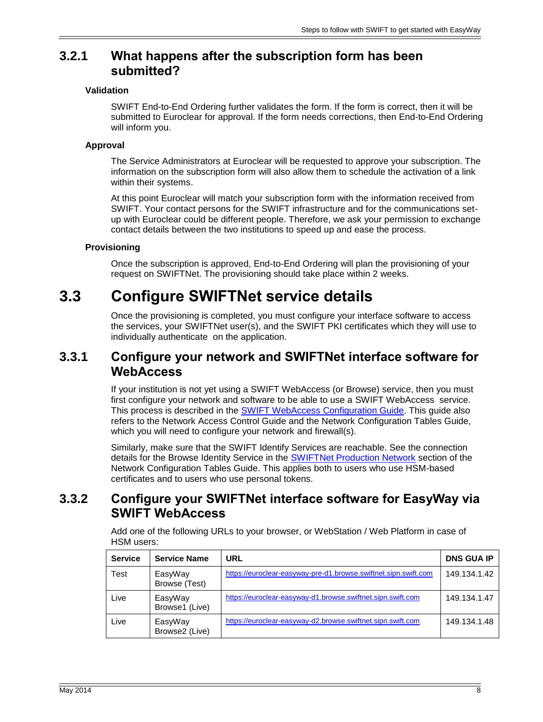## **3.2.1 What happens after the subscription form has been submitted?**

### **Validation**

SWIFT End-to-End Ordering further validates the form. If the form is correct, then it will be submitted to Euroclear for approval. If the form needs corrections, then End-to-End Ordering will inform you.

### **Approval**

The Service Administrators at Euroclear will be requested to approve your subscription. The information on the subscription form will also allow them to schedule the activation of a link within their systems.

At this point Euroclear will match your subscription form with the information received from SWIFT. Your contact persons for the SWIFT infrastructure and for the communications setup with Euroclear could be different people. Therefore, we ask your permission to exchange contact details between the two institutions to speed up and ease the process.

## **Provisioning**

Once the subscription is approved, End-to-End Ordering will plan the provisioning of your request on SWIFTNet. The provisioning should take place within 2 weeks.

## <span id="page-7-0"></span>**3.3 Configure SWIFTNet service details**

Once the provisioning is completed, you must configure your interface software to access the services, your SWIFTNet user(s), and the SWIFT PKI certificates which they will use to individually authenticate on the application.

## **3.3.1 Configure your network and SWIFTNet interface software for WebAccess**

If your institution is not yet using a SWIFT WebAccess (or Browse) service, then you must first configure your network and software to be able to use a SWIFT WebAccess service. This process is described in the SWIFT WebAccess [Configuration Guide.](https://www2.swift.com/go/book/book97189/book97189/html) This guide also refers to the Network Access Control Guide and the Network Configuration Tables Guide, which you will need to configure your network and firewall(s).

Similarly, make sure that the SWIFT Identify Services are reachable. See the connection details for the Browse Identity Service in the [SWIFTNet Production Network](https://www2.swift.com/go/book/book37438/divd37461/html) section of the Network Configuration Tables Guide. This applies both to users who use HSM-based certificates and to users who use personal tokens.

## **3.3.2 Configure your SWIFTNet interface software for EasyWay via SWIFT WebAccess**

Add one of the following URLs to your browser, or WebStation / Web Platform in case of HSM users:

| <b>Service</b> | <b>Service Name</b>       | <b>URL</b>                                                      | <b>DNS GUA IP</b> |
|----------------|---------------------------|-----------------------------------------------------------------|-------------------|
| Test           | EasyWay<br>Browse (Test)  | https://euroclear-easyway-pre-d1.browse.swiftnet.sipn.swift.com | 149.134.1.42      |
| Live           | EasyWay<br>Browse1 (Live) | https://euroclear-easyway-d1.browse.swiftnet.sipn.swift.com     | 149.134.1.47      |
| Live           | EasyWay<br>Browse2 (Live) | https://euroclear-easyway-d2.browse.swiftnet.sipn.swift.com     | 149.134.1.48      |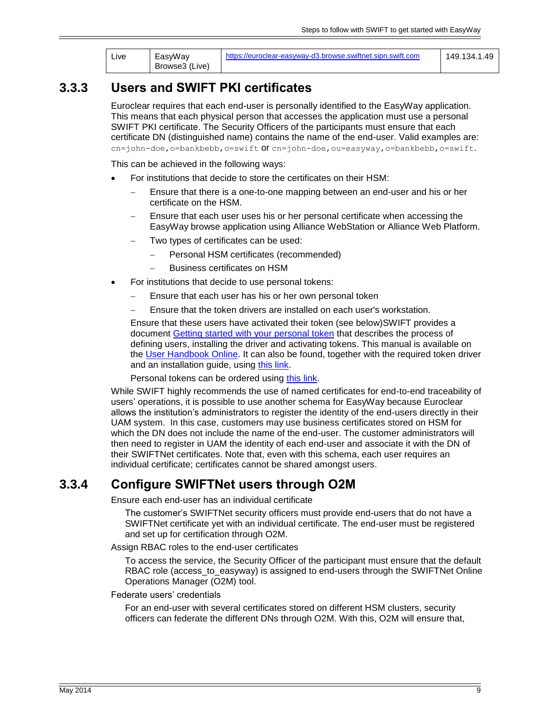| ∟ive | EasyWay        | https://euroclear-easyway-d3.browse.swiftnet.sipn.swift.com | 149.134.1.49 |
|------|----------------|-------------------------------------------------------------|--------------|
|      | Browse3 (Live) |                                                             |              |

## <span id="page-8-0"></span>**3.3.3 Users and SWIFT PKI certificates**

Euroclear requires that each end-user is personally identified to the EasyWay application. This means that each physical person that accesses the application must use a personal SWIFT PKI certificate. The Security Officers of the participants must ensure that each certificate DN (distinguished name) contains the name of the end-user. Valid examples are: cn=john-doe,o=bankbebb,o=swift Of cn=john-doe,ou=easyway,o=bankbebb,o=swift.

This can be achieved in the following ways:

- For institutions that decide to store the certificates on their HSM:
	- Ensure that there is a one-to-one mapping between an end-user and his or her certificate on the HSM.
	- Ensure that each user uses his or her personal certificate when accessing the EasyWay browse application using Alliance WebStation or Alliance Web Platform.
	- Two types of certificates can be used:
		- Personal HSM certificates (recommended)
		- Business certificates on HSM
- For institutions that decide to use personal tokens:
	- Ensure that each user has his or her own personal token
	- Ensure that the token drivers are installed on each user's workstation.

Ensure that these users have activated their token (see below)SWIFT provides a document [Getting started with your personal token](https://www2.swift.com/go/book/book126508/book126508/html) that describes the process of defining users, installing the driver and activating tokens. This manual is available on the [User Handbook Online.](https://www2.swift.com/go/book/book126508/book126508/html) It can also be found, together with the required token driver and an installation guide, using [this link.](http://www.swift.com/products_services/swift_certificate_centre_getting_started?rdct=t)

Personal tokens can be ordered using [this link.](http://www.swift.com/ordering/old_ordering_configuration/existing_customers/43718/security/register/personal_tokens.page?)

While SWIFT highly recommends the use of named certificates for end-to-end traceability of users' operations, it is possible to use another schema for EasyWay because Euroclear allows the institution's administrators to register the identity of the end-users directly in their UAM system. In this case, customers may use business certificates stored on HSM for which the DN does not include the name of the end-user. The customer administrators will then need to register in UAM the identity of each end-user and associate it with the DN of their SWIFTNet certificates. Note that, even with this schema, each user requires an individual certificate; certificates cannot be shared amongst users.

## **3.3.4 Configure SWIFTNet users through O2M**

Ensure each end-user has an individual certificate

The customer's SWIFTNet security officers must provide end-users that do not have a SWIFTNet certificate yet with an individual certificate. The end-user must be registered and set up for certification through O2M.

Assign RBAC roles to the end-user certificates

To access the service, the Security Officer of the participant must ensure that the default RBAC role (access\_to\_easyway) is assigned to end-users through the SWIFTNet Online Operations Manager (O2M) tool.

Federate users' credentials

For an end-user with several certificates stored on different HSM clusters, security officers can federate the different DNs through O2M. With this, O2M will ensure that,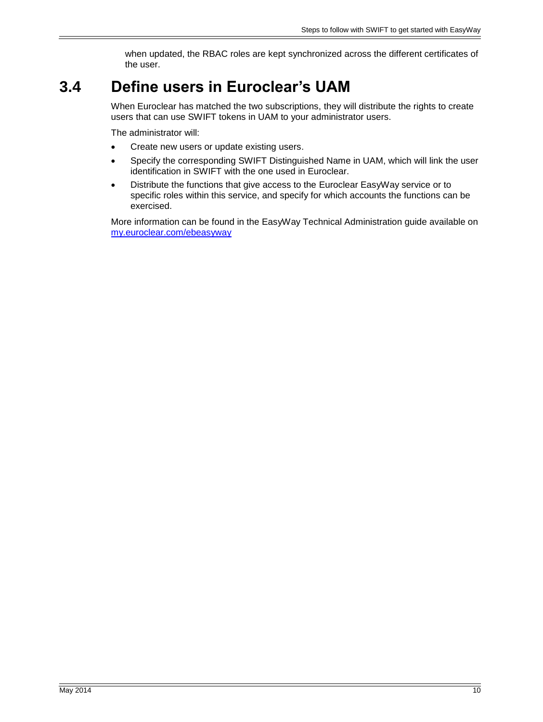when updated, the RBAC roles are kept synchronized across the different certificates of the user.

## <span id="page-9-0"></span>**3.4 Define users in Euroclear's UAM**

When Euroclear has matched the two subscriptions, they will distribute the rights to create users that can use SWIFT tokens in UAM to your administrator users.

The administrator will:

- Create new users or update existing users.
- Specify the corresponding SWIFT Distinguished Name in UAM, which will link the user identification in SWIFT with the one used in Euroclear.
- Distribute the functions that give access to the Euroclear EasyWay service or to specific roles within this service, and specify for which accounts the functions can be exercised.

More information can be found in the EasyWay Technical Administration guide available on [my.euroclear.com/ebeasyway](https://my.euroclear.com/easyway)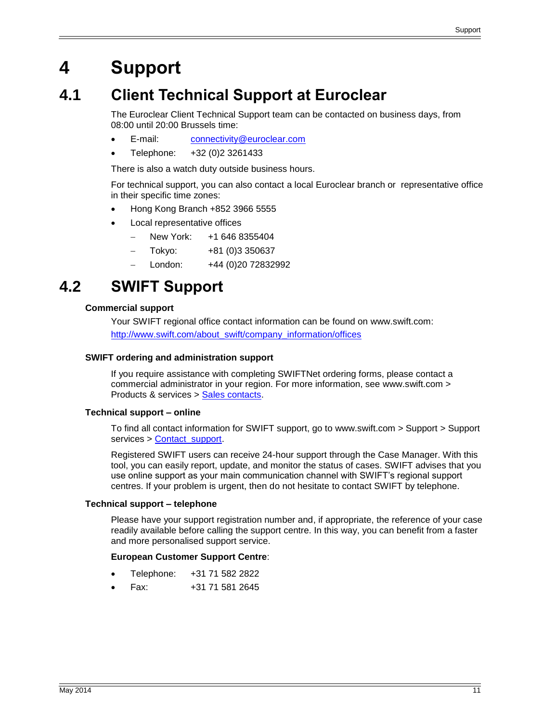# <span id="page-10-0"></span>**4 Support**

## <span id="page-10-1"></span>**4.1 Client Technical Support at Euroclear**

The Euroclear Client Technical Support team can be contacted on business days, from 08:00 until 20:00 Brussels time:

- E-mail: [connectivity@euroclear.com](mailto:connectivity@euroclear.com)
- Telephone: +32 (0)2 3261433

There is also a watch duty outside business hours.

For technical support, you can also contact a local Euroclear branch or representative office in their specific time zones:

- Hong Kong Branch +852 3966 5555
- Local representative offices
	- New York: +1 646 8355404
	- Tokyo: +81 (0)3 350637
	- London: +44 (0) 20 72832992

## <span id="page-10-2"></span>**4.2 SWIFT Support**

#### **Commercial support**

Your SWIFT regional office contact information can be found on www.swift.com: [http://www.swift.com/about\\_swift/company\\_information/offices](http://www.swift.com/about_swift/company_information/offices)

#### **SWIFT ordering and administration support**

If you require assistance with completing SWIFTNet ordering forms, please contact a commercial administrator in your region. For more information, see www.swift.com > Products & services > [Sales contacts.](http://www.swift.com/solutions/sales_contacts.page)

#### **Technical support – online**

To find all contact information for SWIFT support, go to www.swift.com > Support > Support services > [Contact support.](http://www.swift.com/support/support_contacts.page)

Registered SWIFT users can receive 24-hour support through the Case Manager. With this tool, you can easily report, update, and monitor the status of cases. SWIFT advises that you use online support as your main communication channel with SWIFT's regional support centres. If your problem is urgent, then do not hesitate to contact SWIFT by telephone.

#### **Technical support – telephone**

Please have your support registration number and, if appropriate, the reference of your case readily available before calling the support centre. In this way, you can benefit from a faster and more personalised support service.

#### **European Customer Support Centre**:

- Telephone: +31 71 582 2822
- Fax: +31 71 581 2645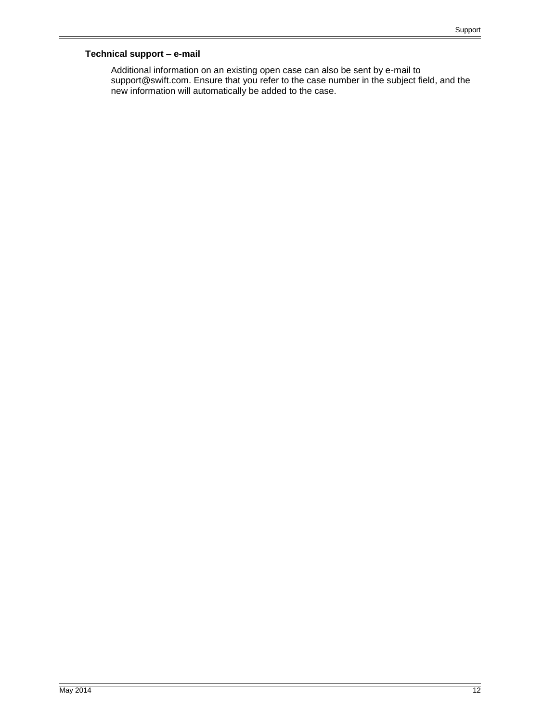#### **Technical support – e-mail**

Additional information on an existing open case can also be sent by e-mail to support@swift.com. Ensure that you refer to the case number in the subject field, and the new information will automatically be added to the case.